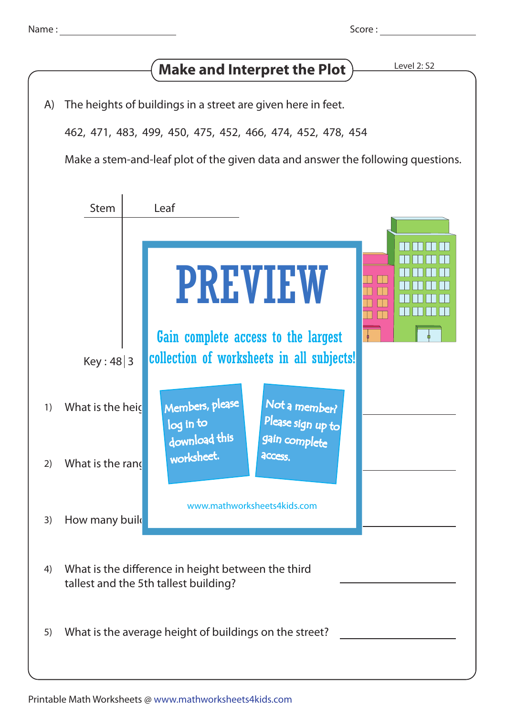| Name |  |  |
|------|--|--|
|      |  |  |